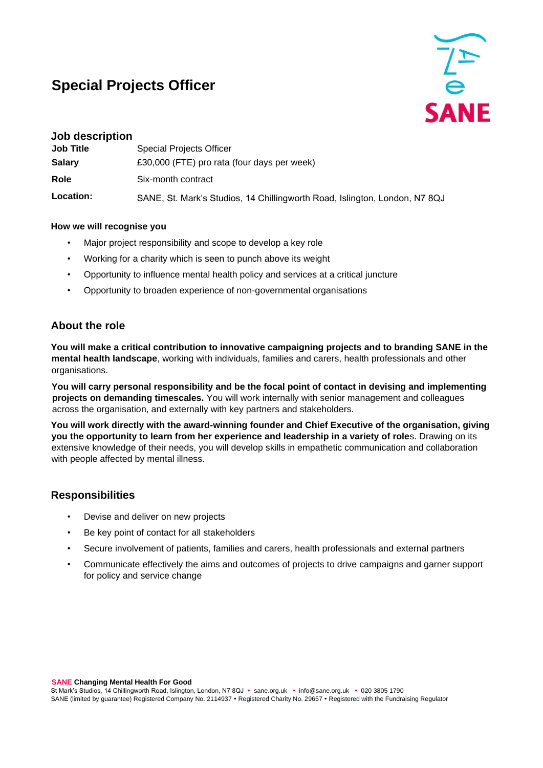# **Special Projects Officer**



| Job description  |                                                                            |
|------------------|----------------------------------------------------------------------------|
| <b>Job Title</b> | <b>Special Projects Officer</b>                                            |
| <b>Salary</b>    | £30,000 (FTE) pro rata (four days per week)                                |
| Role             | Six-month contract                                                         |
| Location:        | SANE, St. Mark's Studios, 14 Chillingworth Road, Islington, London, N7 8QJ |

#### **How we will recognise you**

- Major project responsibility and scope to develop a key role
- Working for a charity which is seen to punch above its weight
- Opportunity to influence mental health policy and services at a critical juncture
- Opportunity to broaden experience of non-governmental organisations

### **About the role**

**You will make a critical contribution to innovative campaigning projects and to branding SANE in the mental health landscape**, working with individuals, families and carers, health professionals and other organisations.

**You will carry personal responsibility and be the focal point of contact in devising and implementing projects on demanding timescales.** You will work internally with senior management and colleagues across the organisation, and externally with key partners and stakeholders.

**You will work directly with the award-winning founder and Chief Executive of the organisation, giving you the opportunity to learn from her experience and leadership in a variety of role**s. Drawing on its extensive knowledge of their needs, you will develop skills in empathetic communication and collaboration with people affected by mental illness.

# **Responsibilities**

- Devise and deliver on new projects
- Be key point of contact for all stakeholders
- Secure involvement of patients, families and carers, health professionals and external partners
- Communicate effectively the aims and outcomes of projects to drive campaigns and garner support for policy and service change

**SANE Changing Mental Health For Good**

St Mark's Studios, 14 Chillingworth Road, Islington, London, N7 8QJ · sane.org.uk · info@sane.org.uk · 020 3805 1790 SANE (limited by guarantee) Registered Company No. 2114937 . Registered Charity No. 29657 . Registered with the Fundraising Regulator